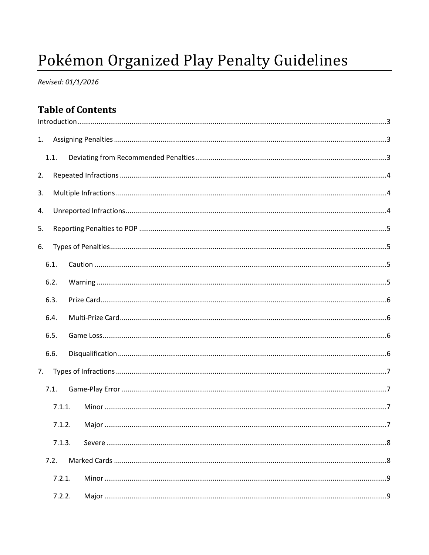# Pokémon Organized Play Penalty Guidelines

Revised: 01/1/2016

# **Table of Contents**

| 1. |      |        |  |  |
|----|------|--------|--|--|
|    | 1.1. |        |  |  |
| 2. |      |        |  |  |
| 3. |      |        |  |  |
| 4. |      |        |  |  |
| 5. |      |        |  |  |
| 6. |      |        |  |  |
|    | 6.1. |        |  |  |
|    | 6.2. |        |  |  |
|    | 6.3. |        |  |  |
|    | 6.4. |        |  |  |
|    | 6.5. |        |  |  |
|    | 6.6. |        |  |  |
| 7. |      |        |  |  |
|    | 7.1. |        |  |  |
|    |      | 7.1.1. |  |  |
|    |      | 7.1.2. |  |  |
|    |      | 7.1.3. |  |  |
|    | 7.2. |        |  |  |
|    |      | 7.2.1. |  |  |
|    |      | 7.2.2. |  |  |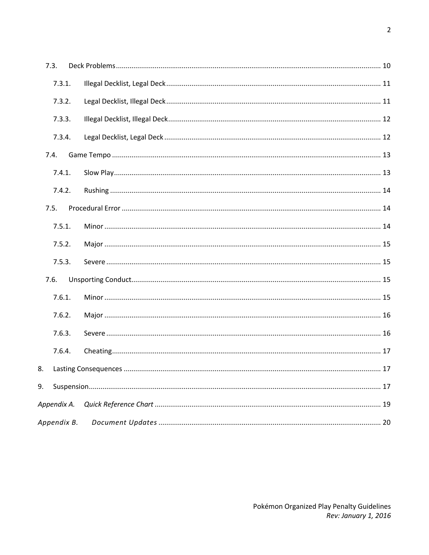|    | 7.3.        |  |
|----|-------------|--|
|    | 7.3.1.      |  |
|    | 7.3.2.      |  |
|    | 7.3.3.      |  |
|    | 7.3.4.      |  |
|    | 7.4.        |  |
|    | 7.4.1.      |  |
|    | 7.4.2.      |  |
|    | 7.5.        |  |
|    | 7.5.1.      |  |
|    | 7.5.2.      |  |
|    | 7.5.3.      |  |
|    | 7.6.        |  |
|    | 7.6.1.      |  |
|    | 7.6.2.      |  |
|    | 7.6.3.      |  |
|    | 7.6.4.      |  |
| 8. |             |  |
| 9. |             |  |
|    | Appendix A. |  |
|    | Appendix B. |  |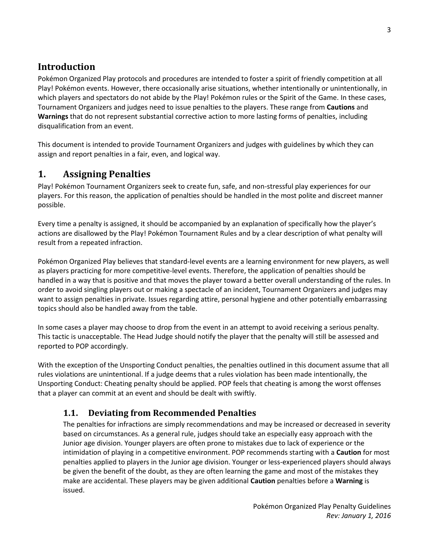# <span id="page-2-0"></span>**Introduction**

Pokémon Organized Play protocols and procedures are intended to foster a spirit of friendly competition at all Play! Pokémon events. However, there occasionally arise situations, whether intentionally or unintentionally, in which players and spectators do not abide by the Play! Pokémon rules or the Spirit of the Game. In these cases, Tournament Organizers and judges need to issue penalties to the players. These range from **Cautions** and **Warnings** that do not represent substantial corrective action to more lasting forms of penalties, including disqualification from an event.

This document is intended to provide Tournament Organizers and judges with guidelines by which they can assign and report penalties in a fair, even, and logical way.

# <span id="page-2-1"></span>**1. Assigning Penalties**

Play! Pokémon Tournament Organizers seek to create fun, safe, and non-stressful play experiences for our players. For this reason, the application of penalties should be handled in the most polite and discreet manner possible.

Every time a penalty is assigned, it should be accompanied by an explanation of specifically how the player's actions are disallowed by the Play! Pokémon Tournament Rules and by a clear description of what penalty will result from a repeated infraction.

Pokémon Organized Play believes that standard-level events are a learning environment for new players, as well as players practicing for more competitive-level events. Therefore, the application of penalties should be handled in a way that is positive and that moves the player toward a better overall understanding of the rules. In order to avoid singling players out or making a spectacle of an incident, Tournament Organizers and judges may want to assign penalties in private. Issues regarding attire, personal hygiene and other potentially embarrassing topics should also be handled away from the table.

In some cases a player may choose to drop from the event in an attempt to avoid receiving a serious penalty. This tactic is unacceptable. The Head Judge should notify the player that the penalty will still be assessed and reported to POP accordingly.

With the exception of the Unsporting Conduct penalties, the penalties outlined in this document assume that all rules violations are unintentional. If a judge deems that a rules violation has been made intentionally, the Unsporting Conduct: Cheating penalty should be applied. POP feels that cheating is among the worst offenses that a player can commit at an event and should be dealt with swiftly.

# <span id="page-2-2"></span>**1.1. Deviating from Recommended Penalties**

The penalties for infractions are simply recommendations and may be increased or decreased in severity based on circumstances. As a general rule, judges should take an especially easy approach with the Junior age division. Younger players are often prone to mistakes due to lack of experience or the intimidation of playing in a competitive environment. POP recommends starting with a **Caution** for most penalties applied to players in the Junior age division. Younger or less-experienced players should always be given the benefit of the doubt, as they are often learning the game and most of the mistakes they make are accidental. These players may be given additional **Caution** penalties before a **Warning** is issued.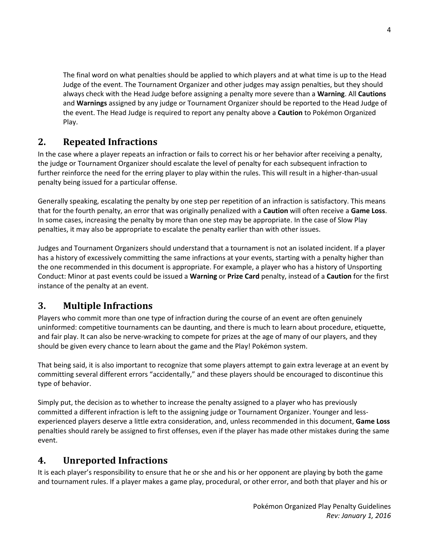The final word on what penalties should be applied to which players and at what time is up to the Head Judge of the event. The Tournament Organizer and other judges may assign penalties, but they should always check with the Head Judge before assigning a penalty more severe than a **Warning**. All **Cautions** and **Warnings** assigned by any judge or Tournament Organizer should be reported to the Head Judge of the event. The Head Judge is required to report any penalty above a **Caution** to Pokémon Organized Play.

# <span id="page-3-0"></span>**2. Repeated Infractions**

In the case where a player repeats an infraction or fails to correct his or her behavior after receiving a penalty, the judge or Tournament Organizer should escalate the level of penalty for each subsequent infraction to further reinforce the need for the erring player to play within the rules. This will result in a higher-than-usual penalty being issued for a particular offense.

Generally speaking, escalating the penalty by one step per repetition of an infraction is satisfactory. This means that for the fourth penalty, an error that was originally penalized with a **Caution** will often receive a **Game Loss**. In some cases, increasing the penalty by more than one step may be appropriate. In the case of Slow Play penalties, it may also be appropriate to escalate the penalty earlier than with other issues.

Judges and Tournament Organizers should understand that a tournament is not an isolated incident. If a player has a history of excessively committing the same infractions at your events, starting with a penalty higher than the one recommended in this document is appropriate. For example, a player who has a history of Unsporting Conduct: Minor at past events could be issued a **Warning** or **Prize Card** penalty, instead of a **Caution** for the first instance of the penalty at an event.

# <span id="page-3-1"></span>**3. Multiple Infractions**

Players who commit more than one type of infraction during the course of an event are often genuinely uninformed: competitive tournaments can be daunting, and there is much to learn about procedure, etiquette, and fair play. It can also be nerve-wracking to compete for prizes at the age of many of our players, and they should be given every chance to learn about the game and the Play! Pokémon system.

That being said, it is also important to recognize that some players attempt to gain extra leverage at an event by committing several different errors "accidentally," and these players should be encouraged to discontinue this type of behavior.

Simply put, the decision as to whether to increase the penalty assigned to a player who has previously committed a different infraction is left to the assigning judge or Tournament Organizer. Younger and lessexperienced players deserve a little extra consideration, and, unless recommended in this document, **Game Loss** penalties should rarely be assigned to first offenses, even if the player has made other mistakes during the same event.

# <span id="page-3-2"></span>**4. Unreported Infractions**

It is each player's responsibility to ensure that he or she and his or her opponent are playing by both the game and tournament rules. If a player makes a game play, procedural, or other error, and both that player and his or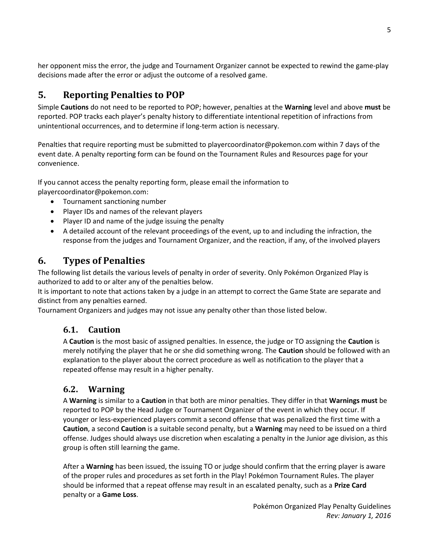her opponent miss the error, the judge and Tournament Organizer cannot be expected to rewind the game-play decisions made after the error or adjust the outcome of a resolved game.

# <span id="page-4-0"></span>**5. Reporting Penalties to POP**

Simple **Cautions** do not need to be reported to POP; however, penalties at the **Warning** level and above **must** be reported. POP tracks each player's penalty history to differentiate intentional repetition of infractions from unintentional occurrences, and to determine if long-term action is necessary.

Penalties that require reporting must be submitted to playercoordinator@pokemon.com within 7 days of the event date. A penalty reporting form can be found on the Tournament Rules and Resources page for your convenience.

If you cannot access the penalty reporting form, please email the information to

playercoordinator@pokemon.com:

- Tournament sanctioning number
- Player IDs and names of the relevant players
- Player ID and name of the judge issuing the penalty
- A detailed account of the relevant proceedings of the event, up to and including the infraction, the response from the judges and Tournament Organizer, and the reaction, if any, of the involved players

# <span id="page-4-1"></span>**6. Types of Penalties**

The following list details the various levels of penalty in order of severity. Only Pokémon Organized Play is authorized to add to or alter any of the penalties below.

It is important to note that actions taken by a judge in an attempt to correct the Game State are separate and distinct from any penalties earned.

<span id="page-4-2"></span>Tournament Organizers and judges may not issue any penalty other than those listed below.

# **6.1. Caution**

A **Caution** is the most basic of assigned penalties. In essence, the judge or TO assigning the **Caution** is merely notifying the player that he or she did something wrong. The **Caution** should be followed with an explanation to the player about the correct procedure as well as notification to the player that a repeated offense may result in a higher penalty.

# <span id="page-4-3"></span>**6.2. Warning**

A **Warning** is similar to a **Caution** in that both are minor penalties. They differ in that **Warnings must** be reported to POP by the Head Judge or Tournament Organizer of the event in which they occur. If younger or less-experienced players commit a second offense that was penalized the first time with a **Caution**, a second **Caution** is a suitable second penalty, but a **Warning** may need to be issued on a third offense. Judges should always use discretion when escalating a penalty in the Junior age division, as this group is often still learning the game.

After a **Warning** has been issued, the issuing TO or judge should confirm that the erring player is aware of the proper rules and procedures as set forth in the Play! Pokémon Tournament Rules. The player should be informed that a repeat offense may result in an escalated penalty, such as a **Prize Card** penalty or a **Game Loss**.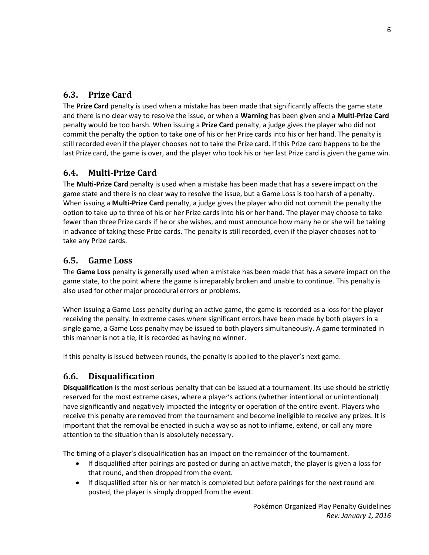# <span id="page-5-0"></span>**6.3. Prize Card**

The **Prize Card** penalty is used when a mistake has been made that significantly affects the game state and there is no clear way to resolve the issue, or when a **Warning** has been given and a **Multi-Prize Card** penalty would be too harsh. When issuing a **Prize Card** penalty, a judge gives the player who did not commit the penalty the option to take one of his or her Prize cards into his or her hand. The penalty is still recorded even if the player chooses not to take the Prize card. If this Prize card happens to be the last Prize card, the game is over, and the player who took his or her last Prize card is given the game win.

# <span id="page-5-1"></span>**6.4. Multi-Prize Card**

The **Multi-Prize Card** penalty is used when a mistake has been made that has a severe impact on the game state and there is no clear way to resolve the issue, but a Game Loss is too harsh of a penalty. When issuing a **Multi-Prize Card** penalty, a judge gives the player who did not commit the penalty the option to take up to three of his or her Prize cards into his or her hand. The player may choose to take fewer than three Prize cards if he or she wishes, and must announce how many he or she will be taking in advance of taking these Prize cards. The penalty is still recorded, even if the player chooses not to take any Prize cards.

# <span id="page-5-2"></span>**6.5. Game Loss**

The **Game Loss** penalty is generally used when a mistake has been made that has a severe impact on the game state, to the point where the game is irreparably broken and unable to continue. This penalty is also used for other major procedural errors or problems.

When issuing a Game Loss penalty during an active game, the game is recorded as a loss for the player receiving the penalty. In extreme cases where significant errors have been made by both players in a single game, a Game Loss penalty may be issued to both players simultaneously. A game terminated in this manner is not a tie; it is recorded as having no winner.

If this penalty is issued between rounds, the penalty is applied to the player's next game.

## <span id="page-5-3"></span>**6.6. Disqualification**

**Disqualification** is the most serious penalty that can be issued at a tournament. Its use should be strictly reserved for the most extreme cases, where a player's actions (whether intentional or unintentional) have significantly and negatively impacted the integrity or operation of the entire event. Players who receive this penalty are removed from the tournament and become ineligible to receive any prizes. It is important that the removal be enacted in such a way so as not to inflame, extend, or call any more attention to the situation than is absolutely necessary.

The timing of a player's disqualification has an impact on the remainder of the tournament.

- If disqualified after pairings are posted or during an active match, the player is given a loss for that round, and then dropped from the event.
- If disqualified after his or her match is completed but before pairings for the next round are posted, the player is simply dropped from the event.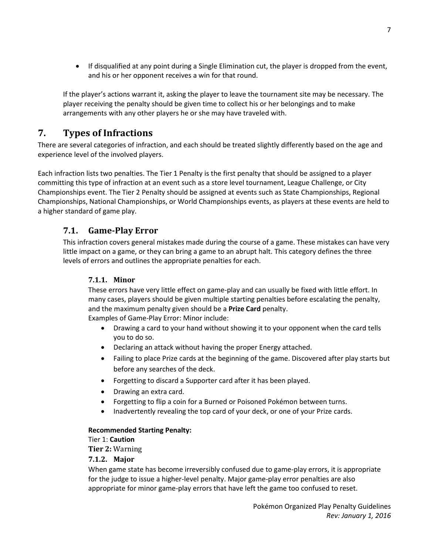If disqualified at any point during a Single Elimination cut, the player is dropped from the event, and his or her opponent receives a win for that round.

If the player's actions warrant it, asking the player to leave the tournament site may be necessary. The player receiving the penalty should be given time to collect his or her belongings and to make arrangements with any other players he or she may have traveled with.

# <span id="page-6-0"></span>**7. Types of Infractions**

There are several categories of infraction, and each should be treated slightly differently based on the age and experience level of the involved players.

Each infraction lists two penalties. The Tier 1 Penalty is the first penalty that should be assigned to a player committing this type of infraction at an event such as a store level tournament, League Challenge, or City Championships event. The Tier 2 Penalty should be assigned at events such as State Championships, Regional Championships, National Championships, or World Championships events, as players at these events are held to a higher standard of game play.

# <span id="page-6-1"></span>**7.1. Game-Play Error**

<span id="page-6-2"></span>This infraction covers general mistakes made during the course of a game. These mistakes can have very little impact on a game, or they can bring a game to an abrupt halt. This category defines the three levels of errors and outlines the appropriate penalties for each.

### **7.1.1. Minor**

These errors have very little effect on game-play and can usually be fixed with little effort. In many cases, players should be given multiple starting penalties before escalating the penalty, and the maximum penalty given should be a **Prize Card** penalty.

Examples of Game-Play Error: Minor include:

- Drawing a card to your hand without showing it to your opponent when the card tells you to do so.
- Declaring an attack without having the proper Energy attached.
- Failing to place Prize cards at the beginning of the game. Discovered after play starts but before any searches of the deck.
- Forgetting to discard a Supporter card after it has been played.
- Drawing an extra card.
- Forgetting to flip a coin for a Burned or Poisoned Pokémon between turns.
- Inadvertently revealing the top card of your deck, or one of your Prize cards.

#### **Recommended Starting Penalty:**

#### Tier 1: **Caution**

**Tier 2:** Warning

#### <span id="page-6-3"></span>**7.1.2. Major**

When game state has become irreversibly confused due to game-play errors, it is appropriate for the judge to issue a higher-level penalty. Major game-play error penalties are also appropriate for minor game-play errors that have left the game too confused to reset.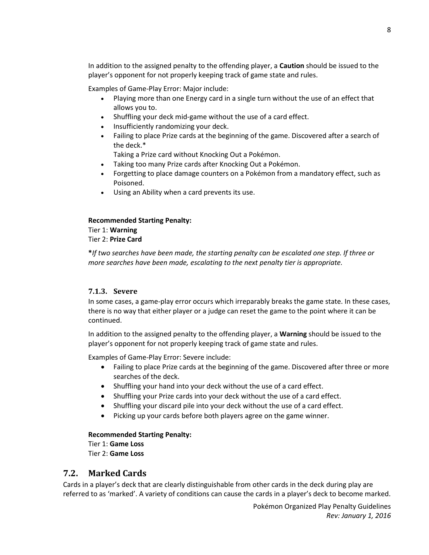In addition to the assigned penalty to the offending player, a **Caution** should be issued to the player's opponent for not properly keeping track of game state and rules.

Examples of Game-Play Error: Major include:

- Playing more than one Energy card in a single turn without the use of an effect that allows you to.
- Shuffling your deck mid-game without the use of a card effect.
- Insufficiently randomizing your deck.
- Failing to place Prize cards at the beginning of the game. Discovered after a search of the deck.\*

Taking a Prize card without Knocking Out a Pokémon.

- Taking too many Prize cards after Knocking Out a Pokémon.
- Forgetting to place damage counters on a Pokémon from a mandatory effect, such as Poisoned.
- Using an Ability when a card prevents its use.

# **Recommended Starting Penalty:**

Tier 1: **Warning** Tier 2: **Prize Card**

**\****If two searches have been made, the starting penalty can be escalated one step. If three or more searches have been made, escalating to the next penalty tier is appropriate.*

#### <span id="page-7-0"></span>**7.1.3. Severe**

In some cases, a game-play error occurs which irreparably breaks the game state. In these cases, there is no way that either player or a judge can reset the game to the point where it can be continued.

In addition to the assigned penalty to the offending player, a **Warning** should be issued to the player's opponent for not properly keeping track of game state and rules.

Examples of Game-Play Error: Severe include:

- Failing to place Prize cards at the beginning of the game. Discovered after three or more searches of the deck.
- Shuffling your hand into your deck without the use of a card effect.
- Shuffling your Prize cards into your deck without the use of a card effect.
- Shuffling your discard pile into your deck without the use of a card effect.
- Picking up your cards before both players agree on the game winner.

#### **Recommended Starting Penalty:**

Tier 1: **Game Loss** Tier 2: **Game Loss**

### <span id="page-7-1"></span>**7.2. Marked Cards**

Cards in a player's deck that are clearly distinguishable from other cards in the deck during play are referred to as 'marked'. A variety of conditions can cause the cards in a player's deck to become marked.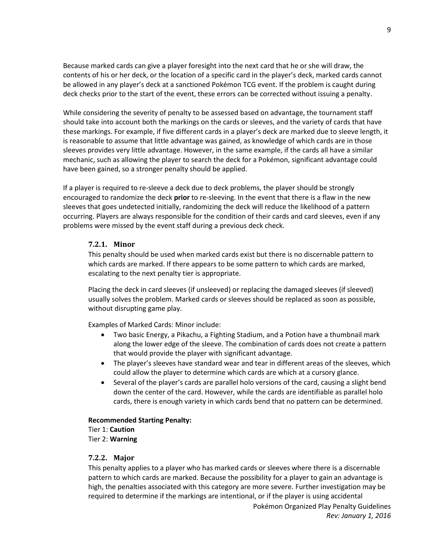Because marked cards can give a player foresight into the next card that he or she will draw, the contents of his or her deck, or the location of a specific card in the player's deck, marked cards cannot be allowed in any player's deck at a sanctioned Pokémon TCG event. If the problem is caught during deck checks prior to the start of the event, these errors can be corrected without issuing a penalty.

While considering the severity of penalty to be assessed based on advantage, the tournament staff should take into account both the markings on the cards or sleeves, and the variety of cards that have these markings. For example, if five different cards in a player's deck are marked due to sleeve length, it is reasonable to assume that little advantage was gained, as knowledge of which cards are in those sleeves provides very little advantage. However, in the same example, if the cards all have a similar mechanic, such as allowing the player to search the deck for a Pokémon, significant advantage could have been gained, so a stronger penalty should be applied.

If a player is required to re-sleeve a deck due to deck problems, the player should be strongly encouraged to randomize the deck **prior** to re-sleeving. In the event that there is a flaw in the new sleeves that goes undetected initially, randomizing the deck will reduce the likelihood of a pattern occurring. Players are always responsible for the condition of their cards and card sleeves, even if any problems were missed by the event staff during a previous deck check.

#### <span id="page-8-0"></span>**7.2.1. Minor**

This penalty should be used when marked cards exist but there is no discernable pattern to which cards are marked. If there appears to be some pattern to which cards are marked, escalating to the next penalty tier is appropriate.

Placing the deck in card sleeves (if unsleeved) or replacing the damaged sleeves (if sleeved) usually solves the problem. Marked cards or sleeves should be replaced as soon as possible, without disrupting game play.

Examples of Marked Cards: Minor include:

- Two basic Energy, a Pikachu, a Fighting Stadium, and a Potion have a thumbnail mark along the lower edge of the sleeve. The combination of cards does not create a pattern that would provide the player with significant advantage.
- The player's sleeves have standard wear and tear in different areas of the sleeves, which could allow the player to determine which cards are which at a cursory glance.
- Several of the player's cards are parallel holo versions of the card, causing a slight bend down the center of the card. However, while the cards are identifiable as parallel holo cards, there is enough variety in which cards bend that no pattern can be determined.

#### **Recommended Starting Penalty:**

Tier 1: **Caution** Tier 2: **Warning**

#### <span id="page-8-1"></span>**7.2.2. Major**

This penalty applies to a player who has marked cards or sleeves where there is a discernable pattern to which cards are marked. Because the possibility for a player to gain an advantage is high, the penalties associated with this category are more severe. Further investigation may be required to determine if the markings are intentional, or if the player is using accidental

Pokémon Organized Play Penalty Guidelines *Rev: January 1, 2016*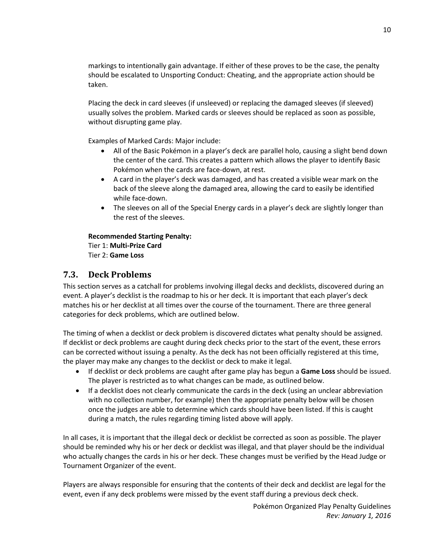markings to intentionally gain advantage. If either of these proves to be the case, the penalty should be escalated to Unsporting Conduct: Cheating, and the appropriate action should be taken.

Placing the deck in card sleeves (if unsleeved) or replacing the damaged sleeves (if sleeved) usually solves the problem. Marked cards or sleeves should be replaced as soon as possible, without disrupting game play.

Examples of Marked Cards: Major include:

- All of the Basic Pokémon in a player's deck are parallel holo, causing a slight bend down the center of the card. This creates a pattern which allows the player to identify Basic Pokémon when the cards are face-down, at rest.
- A card in the player's deck was damaged, and has created a visible wear mark on the back of the sleeve along the damaged area, allowing the card to easily be identified while face-down.
- The sleeves on all of the Special Energy cards in a player's deck are slightly longer than the rest of the sleeves.

#### **Recommended Starting Penalty:**

Tier 1: **Multi-Prize Card** Tier 2: **Game Loss**

### <span id="page-9-0"></span>**7.3. Deck Problems**

This section serves as a catchall for problems involving illegal decks and decklists, discovered during an event. A player's decklist is the roadmap to his or her deck. It is important that each player's deck matches his or her decklist at all times over the course of the tournament. There are three general categories for deck problems, which are outlined below.

The timing of when a decklist or deck problem is discovered dictates what penalty should be assigned. If decklist or deck problems are caught during deck checks prior to the start of the event, these errors can be corrected without issuing a penalty. As the deck has not been officially registered at this time, the player may make any changes to the decklist or deck to make it legal.

- If decklist or deck problems are caught after game play has begun a **Game Loss** should be issued. The player is restricted as to what changes can be made, as outlined below.
- If a decklist does not clearly communicate the cards in the deck (using an unclear abbreviation with no collection number, for example) then the appropriate penalty below will be chosen once the judges are able to determine which cards should have been listed. If this is caught during a match, the rules regarding timing listed above will apply.

In all cases, it is important that the illegal deck or decklist be corrected as soon as possible. The player should be reminded why his or her deck or decklist was illegal, and that player should be the individual who actually changes the cards in his or her deck. These changes must be verified by the Head Judge or Tournament Organizer of the event.

Players are always responsible for ensuring that the contents of their deck and decklist are legal for the event, even if any deck problems were missed by the event staff during a previous deck check.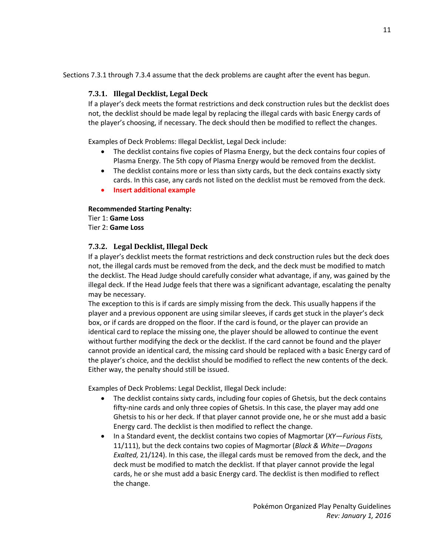<span id="page-10-0"></span>Sections 7.3.1 through 7.3.4 assume that the deck problems are caught after the event has begun.

### **7.3.1. Illegal Decklist, Legal Deck**

If a player's deck meets the format restrictions and deck construction rules but the decklist does not, the decklist should be made legal by replacing the illegal cards with basic Energy cards of the player's choosing, if necessary. The deck should then be modified to reflect the changes.

Examples of Deck Problems: Illegal Decklist, Legal Deck include:

- The decklist contains five copies of Plasma Energy, but the deck contains four copies of Plasma Energy. The 5th copy of Plasma Energy would be removed from the decklist.
- The decklist contains more or less than sixty cards, but the deck contains exactly sixty cards. In this case, any cards not listed on the decklist must be removed from the deck.
- **Insert additional example**

#### **Recommended Starting Penalty:**

Tier 1: **Game Loss** Tier 2: **Game Loss**

#### <span id="page-10-1"></span>**7.3.2. Legal Decklist, Illegal Deck**

If a player's decklist meets the format restrictions and deck construction rules but the deck does not, the illegal cards must be removed from the deck, and the deck must be modified to match the decklist. The Head Judge should carefully consider what advantage, if any, was gained by the illegal deck. If the Head Judge feels that there was a significant advantage, escalating the penalty may be necessary.

The exception to this is if cards are simply missing from the deck. This usually happens if the player and a previous opponent are using similar sleeves, if cards get stuck in the player's deck box, or if cards are dropped on the floor. If the card is found, or the player can provide an identical card to replace the missing one, the player should be allowed to continue the event without further modifying the deck or the decklist. If the card cannot be found and the player cannot provide an identical card, the missing card should be replaced with a basic Energy card of the player's choice, and the decklist should be modified to reflect the new contents of the deck. Either way, the penalty should still be issued.

Examples of Deck Problems: Legal Decklist, Illegal Deck include:

- The decklist contains sixty cards, including four copies of Ghetsis, but the deck contains fifty-nine cards and only three copies of Ghetsis. In this case, the player may add one Ghetsis to his or her deck. If that player cannot provide one, he or she must add a basic Energy card. The decklist is then modified to reflect the change.
- In a Standard event, the decklist contains two copies of Magmortar (*XY—Furious Fists,*  11/111), but the deck contains two copies of Magmortar (*Black & White—Dragons Exalted,* 21/124). In this case, the illegal cards must be removed from the deck, and the deck must be modified to match the decklist. If that player cannot provide the legal cards, he or she must add a basic Energy card. The decklist is then modified to reflect the change.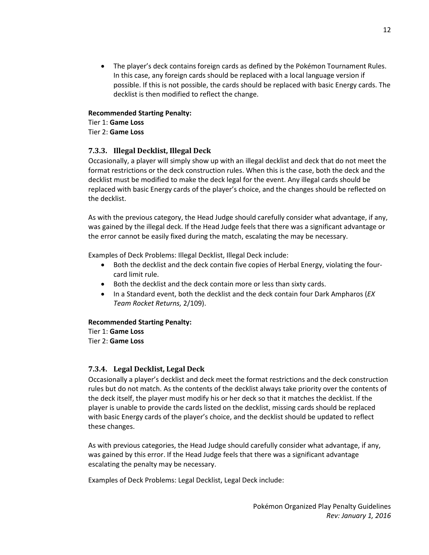The player's deck contains foreign cards as defined by the Pokémon Tournament Rules. In this case, any foreign cards should be replaced with a local language version if possible. If this is not possible, the cards should be replaced with basic Energy cards. The decklist is then modified to reflect the change.

#### **Recommended Starting Penalty:**

Tier 1: **Game Loss** Tier 2: **Game Loss**

#### <span id="page-11-0"></span>**7.3.3. Illegal Decklist, Illegal Deck**

Occasionally, a player will simply show up with an illegal decklist and deck that do not meet the format restrictions or the deck construction rules. When this is the case, both the deck and the decklist must be modified to make the deck legal for the event. Any illegal cards should be replaced with basic Energy cards of the player's choice, and the changes should be reflected on the decklist.

As with the previous category, the Head Judge should carefully consider what advantage, if any, was gained by the illegal deck. If the Head Judge feels that there was a significant advantage or the error cannot be easily fixed during the match, escalating the may be necessary.

Examples of Deck Problems: Illegal Decklist, Illegal Deck include:

- Both the decklist and the deck contain five copies of Herbal Energy, violating the fourcard limit rule.
- Both the decklist and the deck contain more or less than sixty cards.
- In a Standard event, both the decklist and the deck contain four Dark Ampharos (*EX Team Rocket Returns,* 2/109).

#### **Recommended Starting Penalty:**

Tier 1: **Game Loss** Tier 2: **Game Loss**

#### <span id="page-11-1"></span>**7.3.4. Legal Decklist, Legal Deck**

Occasionally a player's decklist and deck meet the format restrictions and the deck construction rules but do not match. As the contents of the decklist always take priority over the contents of the deck itself, the player must modify his or her deck so that it matches the decklist. If the player is unable to provide the cards listed on the decklist, missing cards should be replaced with basic Energy cards of the player's choice, and the decklist should be updated to reflect these changes.

As with previous categories, the Head Judge should carefully consider what advantage, if any, was gained by this error. If the Head Judge feels that there was a significant advantage escalating the penalty may be necessary.

Examples of Deck Problems: Legal Decklist, Legal Deck include: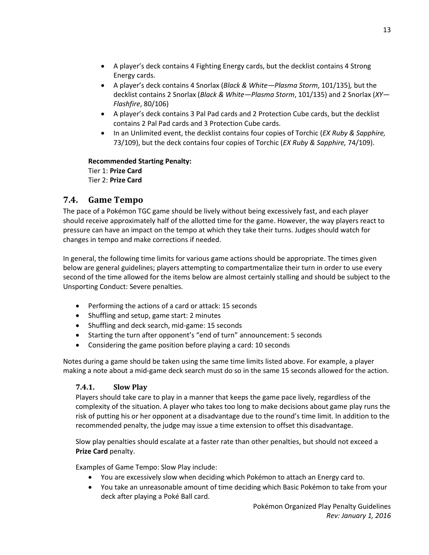- A player's deck contains 4 Fighting Energy cards, but the decklist contains 4 Strong Energy cards.
- A player's deck contains 4 Snorlax (*Black & White—Plasma Storm*, 101/135)*,* but the decklist contains 2 Snorlax (*Black & White—Plasma Storm*, 101/135) and 2 Snorlax (*XY— Flashfire*, 80/106)
- A player's deck contains 3 Pal Pad cards and 2 Protection Cube cards, but the decklist contains 2 Pal Pad cards and 3 Protection Cube cards.
- In an Unlimited event, the decklist contains four copies of Torchic (*EX Ruby & Sapphire,* 73/109), but the deck contains four copies of Torchic (*EX Ruby & Sapphire,* 74/109).

**Recommended Starting Penalty:** Tier 1: **Prize Card** Tier 2: **Prize Card**

# <span id="page-12-0"></span>**7.4. Game Tempo**

The pace of a Pokémon TGC game should be lively without being excessively fast, and each player should receive approximately half of the allotted time for the game. However, the way players react to pressure can have an impact on the tempo at which they take their turns. Judges should watch for changes in tempo and make corrections if needed.

In general, the following time limits for various game actions should be appropriate. The times given below are general guidelines; players attempting to compartmentalize their turn in order to use every second of the time allowed for the items below are almost certainly stalling and should be subject to the Unsporting Conduct: Severe penalties.

- Performing the actions of a card or attack: 15 seconds
- Shuffling and setup, game start: 2 minutes
- Shuffling and deck search, mid-game: 15 seconds
- Starting the turn after opponent's "end of turn" announcement: 5 seconds
- Considering the game position before playing a card: 10 seconds

<span id="page-12-1"></span>Notes during a game should be taken using the same time limits listed above. For example, a player making a note about a mid-game deck search must do so in the same 15 seconds allowed for the action.

### **7.4.1. Slow Play**

Players should take care to play in a manner that keeps the game pace lively, regardless of the complexity of the situation. A player who takes too long to make decisions about game play runs the risk of putting his or her opponent at a disadvantage due to the round's time limit. In addition to the recommended penalty, the judge may issue a time extension to offset this disadvantage.

Slow play penalties should escalate at a faster rate than other penalties, but should not exceed a **Prize Card** penalty.

Examples of Game Tempo: Slow Play include:

- You are excessively slow when deciding which Pokémon to attach an Energy card to.
- You take an unreasonable amount of time deciding which Basic Pokémon to take from your deck after playing a Poké Ball card.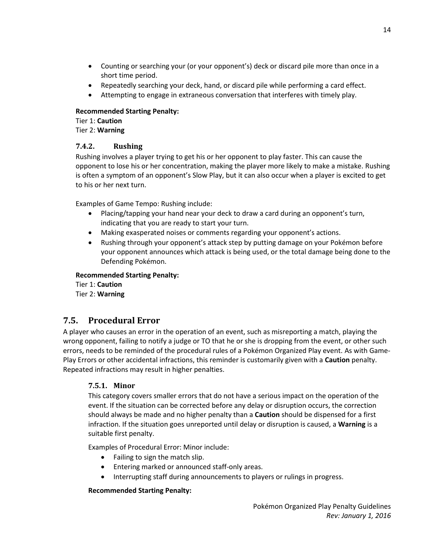- Counting or searching your (or your opponent's) deck or discard pile more than once in a short time period.
- Repeatedly searching your deck, hand, or discard pile while performing a card effect.
- Attempting to engage in extraneous conversation that interferes with timely play.

### **Recommended Starting Penalty:**

Tier 1: **Caution** Tier 2: **Warning**

## <span id="page-13-0"></span>**7.4.2. Rushing**

Rushing involves a player trying to get his or her opponent to play faster. This can cause the opponent to lose his or her concentration, making the player more likely to make a mistake. Rushing is often a symptom of an opponent's Slow Play, but it can also occur when a player is excited to get to his or her next turn.

Examples of Game Tempo: Rushing include:

- Placing/tapping your hand near your deck to draw a card during an opponent's turn, indicating that you are ready to start your turn.
- Making exasperated noises or comments regarding your opponent's actions.
- Rushing through your opponent's attack step by putting damage on your Pokémon before your opponent announces which attack is being used, or the total damage being done to the Defending Pokémon.

### **Recommended Starting Penalty:**

Tier 1: **Caution** Tier 2: **Warning**

# <span id="page-13-1"></span>**7.5. Procedural Error**

A player who causes an error in the operation of an event, such as misreporting a match, playing the wrong opponent, failing to notify a judge or TO that he or she is dropping from the event, or other such errors, needs to be reminded of the procedural rules of a Pokémon Organized Play event. As with Game-Play Errors or other accidental infractions, this reminder is customarily given with a **Caution** penalty. Repeated infractions may result in higher penalties.

## <span id="page-13-2"></span>**7.5.1. Minor**

This category covers smaller errors that do not have a serious impact on the operation of the event. If the situation can be corrected before any delay or disruption occurs, the correction should always be made and no higher penalty than a **Caution** should be dispensed for a first infraction. If the situation goes unreported until delay or disruption is caused, a **Warning** is a suitable first penalty.

Examples of Procedural Error: Minor include:

- Failing to sign the match slip.
- Entering marked or announced staff-only areas.
- Interrupting staff during announcements to players or rulings in progress.

## **Recommended Starting Penalty:**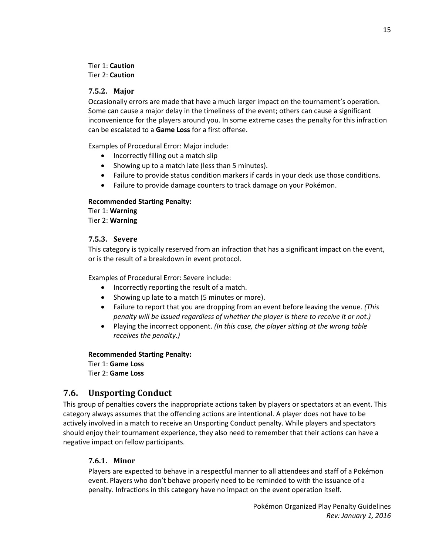#### Tier 1: **Caution** Tier 2: **Caution**

#### <span id="page-14-0"></span>**7.5.2. Major**

Occasionally errors are made that have a much larger impact on the tournament's operation. Some can cause a major delay in the timeliness of the event; others can cause a significant inconvenience for the players around you. In some extreme cases the penalty for this infraction can be escalated to a **Game Loss** for a first offense.

Examples of Procedural Error: Major include:

- Incorrectly filling out a match slip
- Showing up to a match late (less than 5 minutes).
- Failure to provide status condition markers if cards in your deck use those conditions.
- Failure to provide damage counters to track damage on your Pokémon.

#### **Recommended Starting Penalty:**

Tier 1: **Warning** Tier 2: **Warning**

#### <span id="page-14-1"></span>**7.5.3. Severe**

This category is typically reserved from an infraction that has a significant impact on the event, or is the result of a breakdown in event protocol.

Examples of Procedural Error: Severe include:

- Incorrectly reporting the result of a match.
- Showing up late to a match (5 minutes or more).
- Failure to report that you are dropping from an event before leaving the venue. *(This penalty will be issued regardless of whether the player is there to receive it or not.)*
- Playing the incorrect opponent. *(In this case, the player sitting at the wrong table receives the penalty.)*

**Recommended Starting Penalty:**

Tier 1: **Game Loss** Tier 2: **Game Loss**

## <span id="page-14-2"></span>**7.6. Unsporting Conduct**

This group of penalties covers the inappropriate actions taken by players or spectators at an event. This category always assumes that the offending actions are intentional. A player does not have to be actively involved in a match to receive an Unsporting Conduct penalty. While players and spectators should enjoy their tournament experience, they also need to remember that their actions can have a negative impact on fellow participants.

### <span id="page-14-3"></span>**7.6.1. Minor**

Players are expected to behave in a respectful manner to all attendees and staff of a Pokémon event. Players who don't behave properly need to be reminded to with the issuance of a penalty. Infractions in this category have no impact on the event operation itself.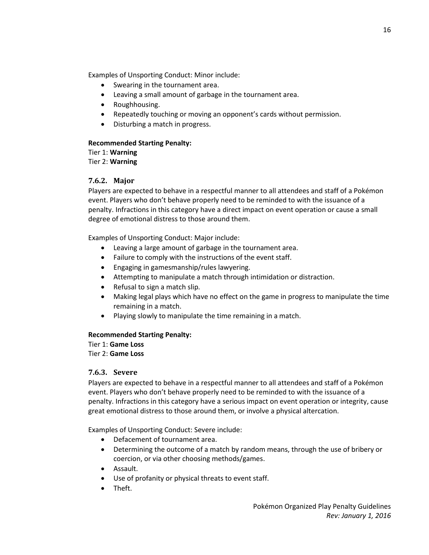Examples of Unsporting Conduct: Minor include:

- Swearing in the tournament area.
- Leaving a small amount of garbage in the tournament area.
- Roughhousing.
- Repeatedly touching or moving an opponent's cards without permission.
- Disturbing a match in progress.

#### **Recommended Starting Penalty:**

Tier 1: **Warning** Tier 2: **Warning**

#### <span id="page-15-0"></span>**7.6.2. Major**

Players are expected to behave in a respectful manner to all attendees and staff of a Pokémon event. Players who don't behave properly need to be reminded to with the issuance of a penalty. Infractions in this category have a direct impact on event operation or cause a small degree of emotional distress to those around them.

Examples of Unsporting Conduct: Major include:

- Leaving a large amount of garbage in the tournament area.
- Failure to comply with the instructions of the event staff.
- Engaging in gamesmanship/rules lawyering.
- Attempting to manipulate a match through intimidation or distraction.
- $\bullet$  Refusal to sign a match slip.
- Making legal plays which have no effect on the game in progress to manipulate the time remaining in a match.
- Playing slowly to manipulate the time remaining in a match.

#### **Recommended Starting Penalty:**

Tier 1: **Game Loss**

Tier 2: **Game Loss**

#### <span id="page-15-1"></span>**7.6.3. Severe**

Players are expected to behave in a respectful manner to all attendees and staff of a Pokémon event. Players who don't behave properly need to be reminded to with the issuance of a penalty. Infractions in this category have a serious impact on event operation or integrity, cause great emotional distress to those around them, or involve a physical altercation.

Examples of Unsporting Conduct: Severe include:

- Defacement of tournament area.
- Determining the outcome of a match by random means, through the use of bribery or coercion, or via other choosing methods/games.
- Assault.
- Use of profanity or physical threats to event staff.
- Theft.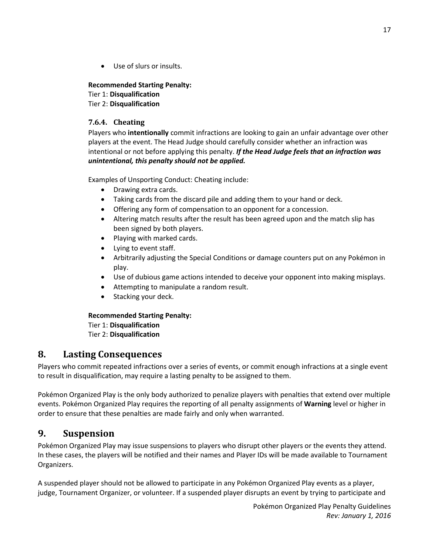Use of slurs or insults.

#### **Recommended Starting Penalty:**

Tier 1: **Disqualification** Tier 2: **Disqualification**

#### <span id="page-16-0"></span>**7.6.4. Cheating**

Players who **intentionally** commit infractions are looking to gain an unfair advantage over other players at the event. The Head Judge should carefully consider whether an infraction was intentional or not before applying this penalty. *If the Head Judge feels that an infraction was unintentional, this penalty should not be applied.*

Examples of Unsporting Conduct: Cheating include:

- Drawing extra cards.
- Taking cards from the discard pile and adding them to your hand or deck.
- Offering any form of compensation to an opponent for a concession.
- Altering match results after the result has been agreed upon and the match slip has been signed by both players.
- Playing with marked cards.
- Lying to event staff.
- Arbitrarily adjusting the Special Conditions or damage counters put on any Pokémon in play.
- Use of dubious game actions intended to deceive your opponent into making misplays.
- Attempting to manipulate a random result.
- Stacking your deck.

#### **Recommended Starting Penalty:** Tier 1: **Disqualification**

Tier 2: **Disqualification**

## <span id="page-16-1"></span>**8. Lasting Consequences**

Players who commit repeated infractions over a series of events, or commit enough infractions at a single event to result in disqualification, may require a lasting penalty to be assigned to them.

Pokémon Organized Play is the only body authorized to penalize players with penalties that extend over multiple events. Pokémon Organized Play requires the reporting of all penalty assignments of **Warning** level or higher in order to ensure that these penalties are made fairly and only when warranted.

### <span id="page-16-2"></span>**9. Suspension**

Pokémon Organized Play may issue suspensions to players who disrupt other players or the events they attend. In these cases, the players will be notified and their names and Player IDs will be made available to Tournament Organizers.

A suspended player should not be allowed to participate in any Pokémon Organized Play events as a player, judge, Tournament Organizer, or volunteer. If a suspended player disrupts an event by trying to participate and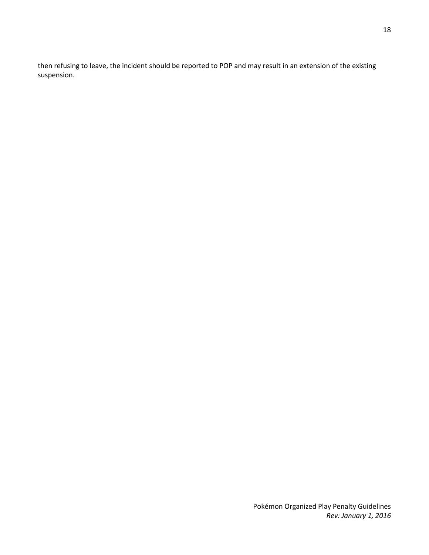then refusing to leave, the incident should be reported to POP and may result in an extension of the existing suspension.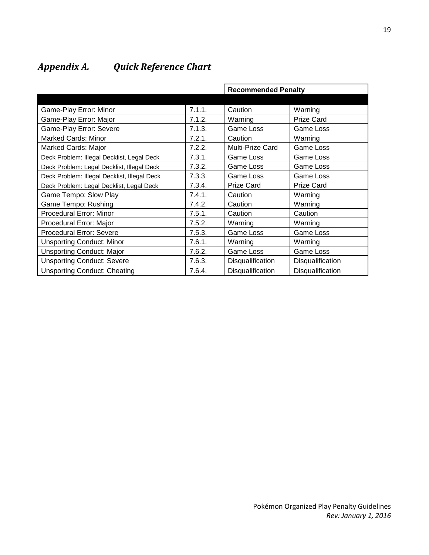### **Recommended Penalty** Game-Play Error: Minor **Fig. 1.1.1.** Caution Warning Game-Play Error: Major **Fig. 1.2.** Narning Prize Card Game-Play Error: Severe **Fig. 1.1.3.** Game Loss Game Loss Game Loss Marked Cards: Minor **The Cause Cards: Minor** 2.2.1. Caution Warning Marked Cards: Major **Marked Cards: Major 7.2.2.** Multi-Prize Card Game Loss Deck Problem: Illegal Decklist, Legal Deck | 7.3.1. Game Loss | Game Loss Deck Problem: Legal Decklist, Illegal Deck | 7.3.2. Game Loss | Game Loss Deck Problem: Illegal Decklist, Illegal Deck | 7.3.3. Game Loss | Game Loss Deck Problem: Legal Decklist, Legal Deck | 7.3.4. Prize Card | Prize Card Game Tempo: Slow Play **The Caution Caution** Caution Nurting Warning Game Tempo: Rushing The Research Love of T.4.2. Caution Nurning Procedural Error: Minor 2010 | 7.5.1. Caution | Caution Procedural Error: Major **7.5.2.** Warning Warning Warning Procedural Error: Severe 1992 | 7.5.3. Game Loss | Game Loss Unsporting Conduct: Minor **7.6.1.** Warning Warning Warning Unsporting Conduct: Major **Fig. 1.4.3.** | Game Loss | Game Loss | Game Loss | Game Loss | Game Loss | Game Loss | Game Loss | Game Loss | Game Loss | Game Loss | Game Loss | Game Loss | Game Loss | Game Loss | Game Loss | Unsporting Conduct: Severe **7.6.3.** Disqualification Disqualification Unsporting Conduct: Cheating **7.6.4.** Disqualification Disqualification

# <span id="page-18-0"></span>*Appendix A. Quick Reference Chart*